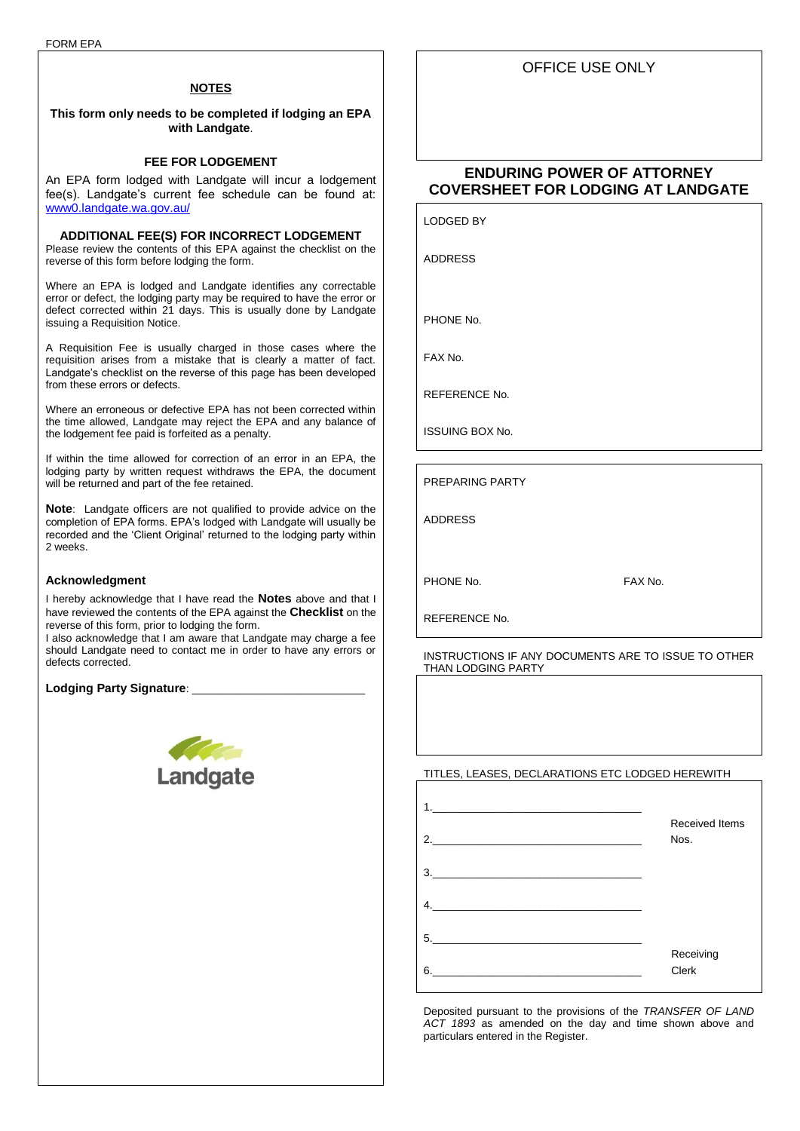### **NOTES**

**This form only needs to be completed if lodging an EPA with Landgate**.

## **FEE FOR LODGEMENT**

An EPA form lodged with Landgate will incur a lodgement fee(s). Landgate's current fee schedule can be found at: [www0.landgate.wa.gov.au/](https://www0.landgate.wa.gov.au/)

### **ADDITIONAL FEE(S) FOR INCORRECT LODGEMENT**

Please review the contents of this EPA against the checklist on the reverse of this form before lodging the form.

Where an EPA is lodged and Landgate identifies any correctable error or defect, the lodging party may be required to have the error or defect corrected within 21 days. This is usually done by Landgate issuing a Requisition Notice.

A Requisition Fee is usually charged in those cases where the requisition arises from a mistake that is clearly a matter of fact. Landgate's checklist on the reverse of this page has been developed from these errors or defects.

Where an erroneous or defective EPA has not been corrected within the time allowed, Landgate may reject the EPA and any balance of the lodgement fee paid is forfeited as a penalty.

If within the time allowed for correction of an error in an EPA, the lodging party by written request withdraws the EPA, the document will be returned and part of the fee retained.

**Note**: Landgate officers are not qualified to provide advice on the completion of EPA forms. EPA's lodged with Landgate will usually be recorded and the 'Client Original' returned to the lodging party within 2 weeks.

#### **Acknowledgment**

I hereby acknowledge that I have read the **Notes** above and that I have reviewed the contents of the EPA against the **Checklist** on the reverse of this form, prior to lodging the form.

I also acknowledge that I am aware that Landgate may charge a fee should Landgate need to contact me in order to have any errors or defects corrected.

Lodging Party Signature:



## **ENDURING POWER OF ATTORNEY COVERSHEET FOR LODGING AT LANDGATE**

LODGED BY

ADDRESS

PHONE No.

FAX No.

REFERENCE No.

ISSUING BOX No.

PREPARING PARTY

ADDRESS

PHONE No. 6 and 1990 FAX No.

REFERENCE No.

INSTRUCTIONS IF ANY DOCUMENTS ARE TO ISSUE TO OTHER THAN LODGING PARTY

### TITLES, LEASES, DECLARATIONS ETC LODGED HEREWITH

|    | <b>Received Items</b> |
|----|-----------------------|
| 2. | Nos.                  |
| 3. |                       |
|    |                       |
|    | Receiving             |
| 6. | Clerk                 |

Deposited pursuant to the provisions of the *TRANSFER OF LAND ACT 1893* as amended on the day and time shown above and particulars entered in the Register.